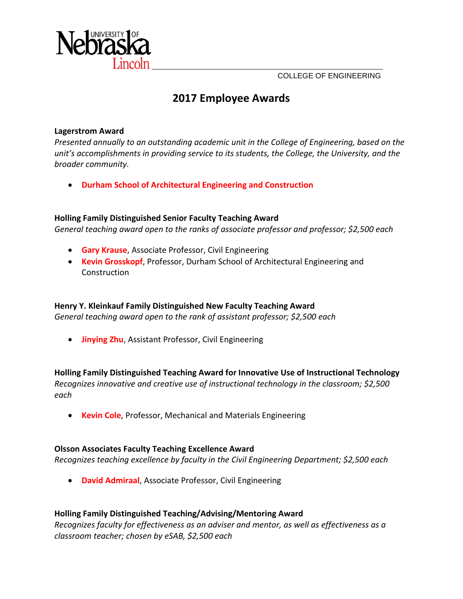COLLEGE OF ENGINEERING



# **2017 Employee Awards**

#### **Lagerstrom Award**

*Presented annually to an outstanding academic unit in the College of Engineering, based on the unit's accomplishments in providing service to its students, the College, the University, and the broader community.*

• **Durham School of Architectural Engineering and Construction**

# **Holling Family Distinguished Senior Faculty Teaching Award**

*General teaching award open to the ranks of associate professor and professor; \$2,500 each*

- **Gary Krause**, Associate Professor, Civil Engineering
- **Kevin Grosskopf**, Professor, Durham School of Architectural Engineering and Construction

# **Henry Y. Kleinkauf Family Distinguished New Faculty Teaching Award**

*General teaching award open to the rank of assistant professor; \$2,500 each*

• **Jinying Zhu**, Assistant Professor, Civil Engineering

# **Holling Family Distinguished Teaching Award for Innovative Use of Instructional Technology**

*Recognizes innovative and creative use of instructional technology in the classroom; \$2,500 each*

• **Kevin Cole**, Professor, Mechanical and Materials Engineering

# **Olsson Associates Faculty Teaching Excellence Award**

*Recognizes teaching excellence by faculty in the Civil Engineering Department; \$2,500 each*

• **David Admiraal**, Associate Professor, Civil Engineering

# **Holling Family Distinguished Teaching/Advising/Mentoring Award**

*Recognizes faculty for effectiveness as an adviser and mentor, as well as effectiveness as a classroom teacher; chosen by eSAB, \$2,500 each*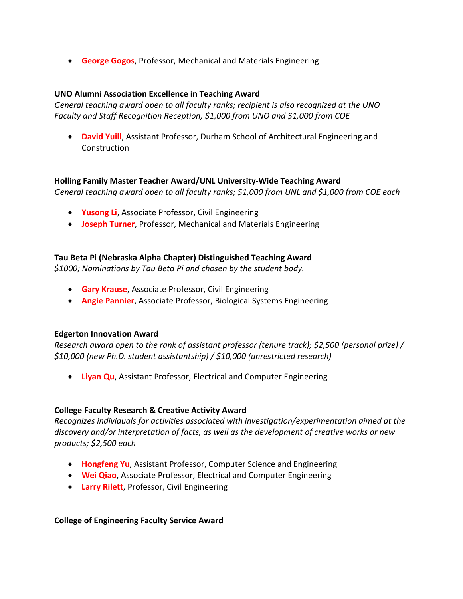• **George Gogos**, Professor, Mechanical and Materials Engineering

#### **UNO Alumni Association Excellence in Teaching Award**

*General teaching award open to all faculty ranks; recipient is also recognized at the UNO Faculty and Staff Recognition Reception; \$1,000 from UNO and \$1,000 from COE*

• **David Yuill**, Assistant Professor, Durham School of Architectural Engineering and Construction

#### **Holling Family Master Teacher Award/UNL University‐Wide Teaching Award**

*General teaching award open to all faculty ranks; \$1,000 from UNL and \$1,000 from COE each*

- **Yusong Li**, Associate Professor, Civil Engineering
- **Joseph Turner**, Professor, Mechanical and Materials Engineering

#### **Tau Beta Pi (Nebraska Alpha Chapter) Distinguished Teaching Award**

*\$1000; Nominations by Tau Beta Pi and chosen by the student body.*

- **Gary Krause**, Associate Professor, Civil Engineering
- **Angie Pannier**, Associate Professor, Biological Systems Engineering

#### **Edgerton Innovation Award**

*Research award open to the rank of assistant professor (tenure track); \$2,500 (personal prize) / \$10,000 (new Ph.D. student assistantship) / \$10,000 (unrestricted research)* 

• **Liyan Qu**, Assistant Professor, Electrical and Computer Engineering

#### **College Faculty Research & Creative Activity Award**

*Recognizes individuals for activities associated with investigation/experimentation aimed at the discovery and/or interpretation of facts, as well as the development of creative works or new products; \$2,500 each*

- **Hongfeng Yu**, Assistant Professor, Computer Science and Engineering
- **Wei Qiao**, Associate Professor, Electrical and Computer Engineering
- **Larry Rilett**, Professor, Civil Engineering

#### **College of Engineering Faculty Service Award**